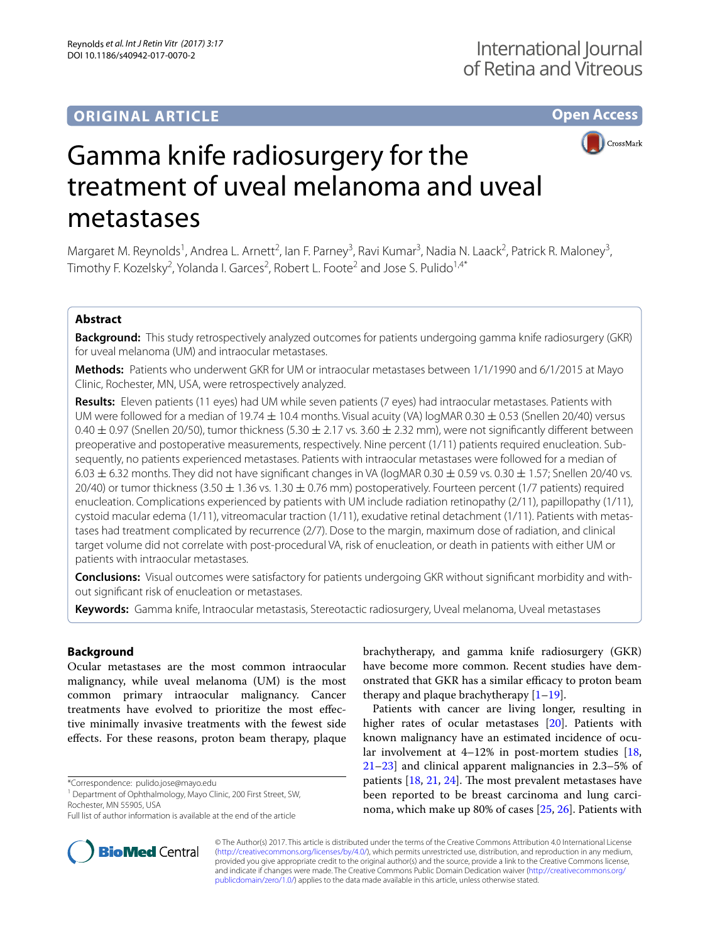# **ORIGINAL ARTICLE**

**Open Access**



# Gamma knife radiosurgery for the treatment of uveal melanoma and uveal metastases

Margaret M. Reynolds<sup>1</sup>, Andrea L. Arnett<sup>2</sup>, Ian F. Parney<sup>3</sup>, Ravi Kumar<sup>3</sup>, Nadia N. Laack<sup>2</sup>, Patrick R. Maloney<sup>3</sup>, Timothy F. Kozelsky<sup>2</sup>, Yolanda I. Garces<sup>2</sup>, Robert L. Foote<sup>2</sup> and Jose S. Pulido<sup>1,4\*</sup>

# **Abstract**

**Background:** This study retrospectively analyzed outcomes for patients undergoing gamma knife radiosurgery (GKR) for uveal melanoma (UM) and intraocular metastases.

**Methods:** Patients who underwent GKR for UM or intraocular metastases between 1/1/1990 and 6/1/2015 at Mayo Clinic, Rochester, MN, USA, were retrospectively analyzed.

**Results:** Eleven patients (11 eyes) had UM while seven patients (7 eyes) had intraocular metastases. Patients with UM were followed for a median of 19.74  $\pm$  10.4 months. Visual acuity (VA) logMAR 0.30  $\pm$  0.53 (Snellen 20/40) versus 0.40  $\pm$  0.97 (Snellen 20/50), tumor thickness (5.30  $\pm$  2.17 vs. 3.60  $\pm$  2.32 mm), were not significantly different between preoperative and postoperative measurements, respectively. Nine percent (1/11) patients required enucleation. Subsequently, no patients experienced metastases. Patients with intraocular metastases were followed for a median of  $6.03 \pm 6.32$  months. They did not have significant changes in VA (logMAR 0.30  $\pm$  0.59 vs. 0.30  $\pm$  1.57; Snellen 20/40 vs. 20/40) or tumor thickness (3.50  $\pm$  1.36 vs. 1.30  $\pm$  0.76 mm) postoperatively. Fourteen percent (1/7 patients) required enucleation. Complications experienced by patients with UM include radiation retinopathy (2/11), papillopathy (1/11), cystoid macular edema (1/11), vitreomacular traction (1/11), exudative retinal detachment (1/11). Patients with metastases had treatment complicated by recurrence (2/7). Dose to the margin, maximum dose of radiation, and clinical target volume did not correlate with post-procedural VA, risk of enucleation, or death in patients with either UM or patients with intraocular metastases.

**Conclusions:** Visual outcomes were satisfactory for patients undergoing GKR without significant morbidity and without significant risk of enucleation or metastases.

**Keywords:** Gamma knife, Intraocular metastasis, Stereotactic radiosurgery, Uveal melanoma, Uveal metastases

## **Background**

Ocular metastases are the most common intraocular malignancy, while uveal melanoma (UM) is the most common primary intraocular malignancy. Cancer treatments have evolved to prioritize the most effective minimally invasive treatments with the fewest side effects. For these reasons, proton beam therapy, plaque

\*Correspondence: pulido.jose@mayo.edu

<sup>1</sup> Department of Ophthalmology, Mayo Clinic, 200 First Street, SW,

Rochester, MN 55905, USA

brachytherapy, and gamma knife radiosurgery (GKR) have become more common. Recent studies have demonstrated that GKR has a similar efficacy to proton beam therapy and plaque brachytherapy  $[1-19]$  $[1-19]$ .

Patients with cancer are living longer, resulting in higher rates of ocular metastases [[20\]](#page-10-1). Patients with known malignancy have an estimated incidence of ocular involvement at  $4-12\%$  in post-mortem studies [[18](#page-10-2), [21](#page-10-3)[–23](#page-10-4)] and clinical apparent malignancies in 2.3–5% of patients [\[18,](#page-10-2) [21,](#page-10-3) [24](#page-10-5)]. The most prevalent metastases have been reported to be breast carcinoma and lung carcinoma, which make up 80% of cases [\[25](#page-10-6), [26\]](#page-10-7). Patients with



© The Author(s) 2017. This article is distributed under the terms of the Creative Commons Attribution 4.0 International License [\(http://creativecommons.org/licenses/by/4.0/\)](http://creativecommons.org/licenses/by/4.0/), which permits unrestricted use, distribution, and reproduction in any medium, provided you give appropriate credit to the original author(s) and the source, provide a link to the Creative Commons license, and indicate if changes were made. The Creative Commons Public Domain Dedication waiver ([http://creativecommons.org/](http://creativecommons.org/publicdomain/zero/1.0/) [publicdomain/zero/1.0/](http://creativecommons.org/publicdomain/zero/1.0/)) applies to the data made available in this article, unless otherwise stated.

Full list of author information is available at the end of the article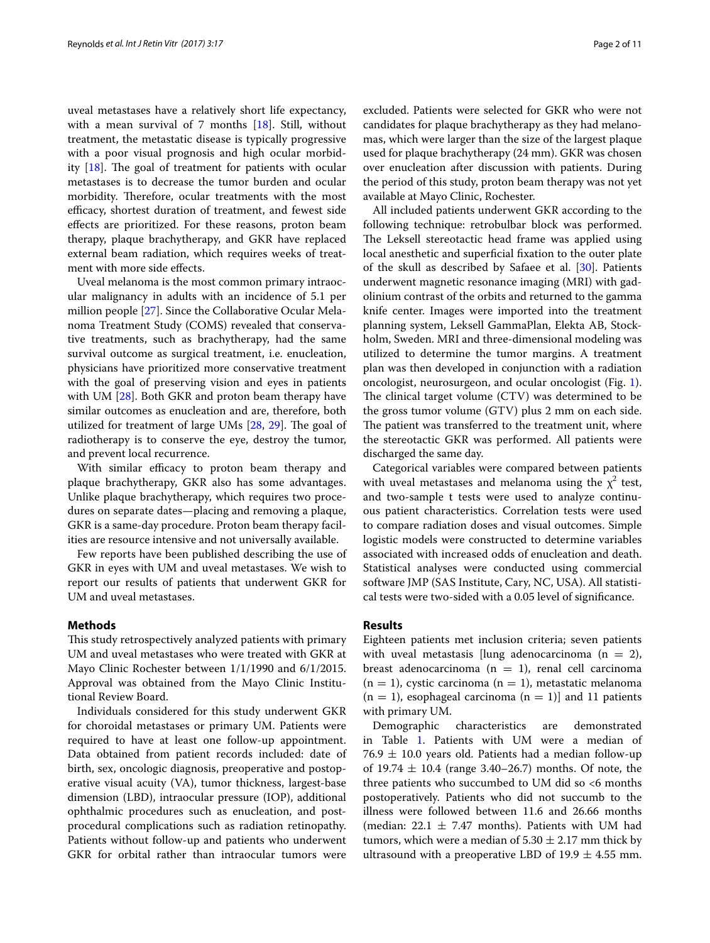uveal metastases have a relatively short life expectancy, with a mean survival of 7 months [\[18](#page-10-2)]. Still, without treatment, the metastatic disease is typically progressive with a poor visual prognosis and high ocular morbidity [\[18](#page-10-2)]. The goal of treatment for patients with ocular metastases is to decrease the tumor burden and ocular morbidity. Therefore, ocular treatments with the most efficacy, shortest duration of treatment, and fewest side effects are prioritized. For these reasons, proton beam therapy, plaque brachytherapy, and GKR have replaced external beam radiation, which requires weeks of treatment with more side effects.

Uveal melanoma is the most common primary intraocular malignancy in adults with an incidence of 5.1 per million people [\[27](#page-10-8)]. Since the Collaborative Ocular Melanoma Treatment Study (COMS) revealed that conservative treatments, such as brachytherapy, had the same survival outcome as surgical treatment, i.e. enucleation, physicians have prioritized more conservative treatment with the goal of preserving vision and eyes in patients with UM [\[28](#page-10-9)]. Both GKR and proton beam therapy have similar outcomes as enucleation and are, therefore, both utilized for treatment of large UMs [\[28,](#page-10-9) [29](#page-10-10)]. The goal of radiotherapy is to conserve the eye, destroy the tumor, and prevent local recurrence.

With similar efficacy to proton beam therapy and plaque brachytherapy, GKR also has some advantages. Unlike plaque brachytherapy, which requires two procedures on separate dates—placing and removing a plaque, GKR is a same-day procedure. Proton beam therapy facilities are resource intensive and not universally available.

Few reports have been published describing the use of GKR in eyes with UM and uveal metastases. We wish to report our results of patients that underwent GKR for UM and uveal metastases.

#### **Methods**

This study retrospectively analyzed patients with primary UM and uveal metastases who were treated with GKR at Mayo Clinic Rochester between 1/1/1990 and 6/1/2015. Approval was obtained from the Mayo Clinic Institutional Review Board.

Individuals considered for this study underwent GKR for choroidal metastases or primary UM. Patients were required to have at least one follow-up appointment. Data obtained from patient records included: date of birth, sex, oncologic diagnosis, preoperative and postoperative visual acuity (VA), tumor thickness, largest-base dimension (LBD), intraocular pressure (IOP), additional ophthalmic procedures such as enucleation, and postprocedural complications such as radiation retinopathy. Patients without follow-up and patients who underwent GKR for orbital rather than intraocular tumors were excluded. Patients were selected for GKR who were not candidates for plaque brachytherapy as they had melanomas, which were larger than the size of the largest plaque used for plaque brachytherapy (24 mm). GKR was chosen over enucleation after discussion with patients. During the period of this study, proton beam therapy was not yet available at Mayo Clinic, Rochester.

All included patients underwent GKR according to the following technique: retrobulbar block was performed. The Leksell stereotactic head frame was applied using local anesthetic and superficial fixation to the outer plate of the skull as described by Safaee et al. [\[30](#page-10-11)]. Patients underwent magnetic resonance imaging (MRI) with gadolinium contrast of the orbits and returned to the gamma knife center. Images were imported into the treatment planning system, Leksell GammaPlan, Elekta AB, Stockholm, Sweden. MRI and three-dimensional modeling was utilized to determine the tumor margins. A treatment plan was then developed in conjunction with a radiation oncologist, neurosurgeon, and ocular oncologist (Fig. [1](#page-2-0)). The clinical target volume (CTV) was determined to be the gross tumor volume (GTV) plus 2 mm on each side. The patient was transferred to the treatment unit, where the stereotactic GKR was performed. All patients were discharged the same day.

Categorical variables were compared between patients with uveal metastases and melanoma using the  $\chi^2$  test, and two-sample t tests were used to analyze continuous patient characteristics. Correlation tests were used to compare radiation doses and visual outcomes. Simple logistic models were constructed to determine variables associated with increased odds of enucleation and death. Statistical analyses were conducted using commercial software JMP (SAS Institute, Cary, NC, USA). All statistical tests were two-sided with a 0.05 level of significance.

#### **Results**

Eighteen patients met inclusion criteria; seven patients with uveal metastasis [lung adenocarcinoma  $(n = 2)$ , breast adenocarcinoma ( $n = 1$ ), renal cell carcinoma  $(n = 1)$ , cystic carcinoma  $(n = 1)$ , metastatic melanoma  $(n = 1)$ , esophageal carcinoma  $(n = 1)$ ] and 11 patients with primary UM.

Demographic characteristics are demonstrated in Table [1.](#page-3-0) Patients with UM were a median of  $76.9 \pm 10.0$  years old. Patients had a median follow-up of  $19.74 \pm 10.4$  (range 3.40–26.7) months. Of note, the three patients who succumbed to UM did so <6 months postoperatively. Patients who did not succumb to the illness were followed between 11.6 and 26.66 months (median:  $22.1 \pm 7.47$  months). Patients with UM had tumors, which were a median of  $5.30 \pm 2.17$  mm thick by ultrasound with a preoperative LBD of  $19.9 \pm 4.55$  mm.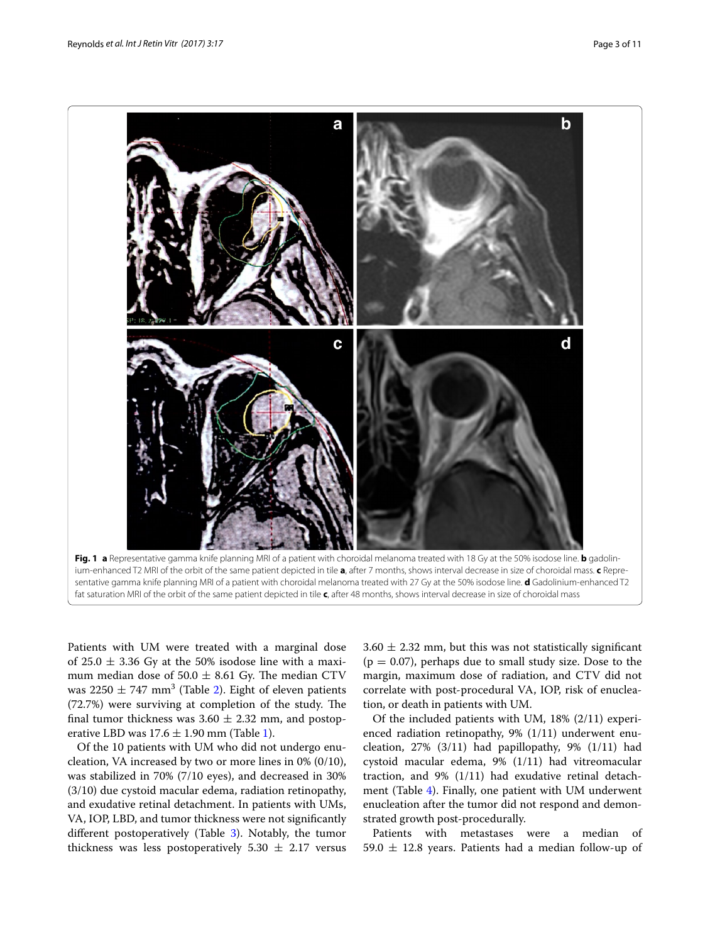

<span id="page-2-0"></span>fat saturation MRI of the orbit of the same patient depicted in tile **c**, after 48 months, shows interval decrease in size of choroidal mass

Patients with UM were treated with a marginal dose of 25.0  $\pm$  3.36 Gy at the 50% isodose line with a maximum median dose of  $50.0 \pm 8.61$  Gy. The median CTV was  $2250 \pm 747$  $2250 \pm 747$  mm<sup>3</sup> (Table 2). Eight of eleven patients (72.7%) were surviving at completion of the study. The final tumor thickness was  $3.60 \pm 2.32$  mm, and postoperative LBD was  $17.6 \pm 1.90$  $17.6 \pm 1.90$  $17.6 \pm 1.90$  mm (Table 1).

Of the 10 patients with UM who did not undergo enucleation, VA increased by two or more lines in 0% (0/10), was stabilized in 70% (7/10 eyes), and decreased in 30% (3/10) due cystoid macular edema, radiation retinopathy, and exudative retinal detachment. In patients with UMs, VA, IOP, LBD, and tumor thickness were not significantly different postoperatively (Table [3](#page-3-2)). Notably, the tumor thickness was less postoperatively  $5.30 \pm 2.17$  versus  $3.60 \pm 2.32$  mm, but this was not statistically significant  $(p = 0.07)$ , perhaps due to small study size. Dose to the margin, maximum dose of radiation, and CTV did not correlate with post-procedural VA, IOP, risk of enucleation, or death in patients with UM.

Of the included patients with UM, 18% (2/11) experienced radiation retinopathy, 9% (1/11) underwent enucleation,  $27\%$  (3/11) had papillopathy, 9% (1/11) had cystoid macular edema, 9% (1/11) had vitreomacular traction, and 9% (1/11) had exudative retinal detachment (Table [4\)](#page-3-3). Finally, one patient with UM underwent enucleation after the tumor did not respond and demonstrated growth post-procedurally.

Patients with metastases were a median of 59.0  $\pm$  12.8 years. Patients had a median follow-up of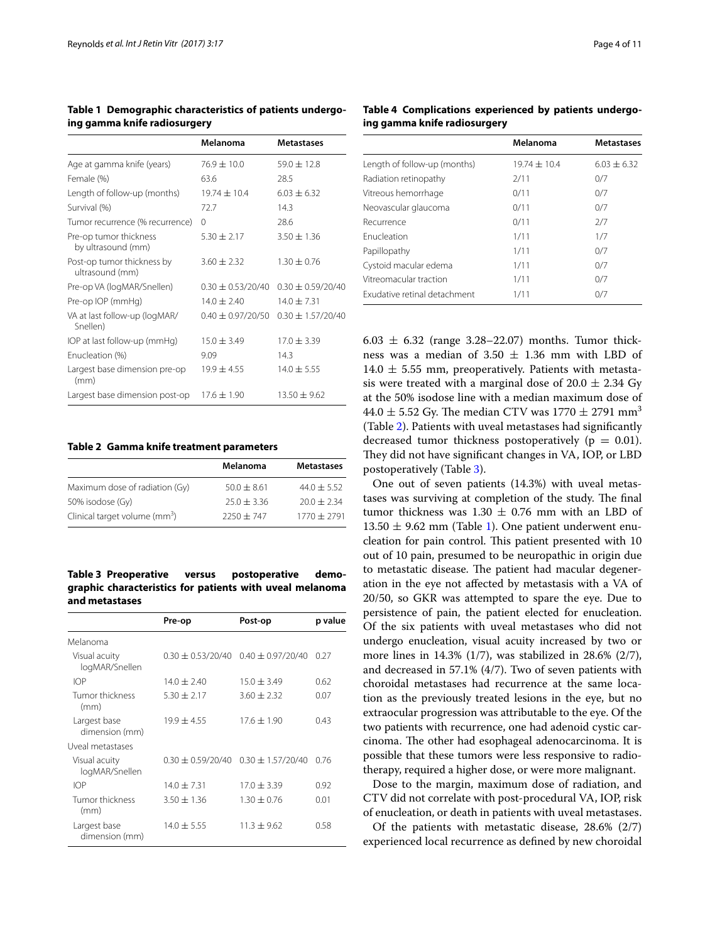<span id="page-3-0"></span>**Table 1 Demographic characteristics of patients undergoing gamma knife radiosurgery**

|                                               | Melanoma              | Metastases            |
|-----------------------------------------------|-----------------------|-----------------------|
| Age at gamma knife (years)                    | $76.9 \pm 10.0$       | $59.0 + 12.8$         |
| Female (%)                                    | 63.6                  | 28.5                  |
| Length of follow-up (months)                  | $19.74 \pm 10.4$      | $6.03 + 6.32$         |
| Survival (%)                                  | 72.7                  | 14.3                  |
| Tumor recurrence (% recurrence)               | $\Omega$              | 28.6                  |
| Pre-op tumor thickness<br>by ultrasound (mm)  | $5.30 \pm 2.17$       | $3.50 \pm 1.36$       |
| Post-op tumor thickness by<br>ultrasound (mm) | $3.60 + 2.32$         | $1.30 \pm 0.76$       |
| Pre-op VA (logMAR/Snellen)                    | $0.30 + 0.53/20/40$   | $0.30 + 0.59/20/40$   |
| Pre-op IOP (mmHg)                             | $14.0 \pm 2.40$       | $14.0 + 7.31$         |
| VA at last follow-up (logMAR/<br>Snellen)     | $0.40 \pm 0.97/20/50$ | $0.30 \pm 1.57/20/40$ |
| IOP at last follow-up (mmHg)                  | $15.0 \pm 3.49$       | $17.0 + 3.39$         |
| Enucleation (%)                               | 9.09                  | 14.3                  |
| Largest base dimension pre-op<br>(mm)         | $19.9 + 4.55$         | $14.0 + 5.55$         |
| Largest base dimension post-op                | $17.6 + 1.90$         | $13.50 \pm 9.62$      |

<span id="page-3-1"></span>**Table 2 Gamma knife treatment parameters**

|                                           | Melanoma      | <b>Metastases</b> |
|-------------------------------------------|---------------|-------------------|
| Maximum dose of radiation (Gy)            | $50.0 + 8.61$ | $44.0 \pm 5.52$   |
| 50% isodose (Gy)                          | $25.0 + 3.36$ | $20.0 + 2.34$     |
| Clinical target volume (mm <sup>3</sup> ) | $2250 + 747$  | $1770 + 2791$     |

<span id="page-3-2"></span>**Table 3 Preoperative versus postoperative demographic characteristics for patients with uveal melanoma and metastases**

|                                 | Pre-op                | Post-op               | p value |
|---------------------------------|-----------------------|-----------------------|---------|
| Melanoma                        |                       |                       |         |
| Visual acuity<br>logMAR/Snellen | $0.30 \pm 0.53/20/40$ | $0.40 \pm 0.97/20/40$ | 0.27    |
| <b>IOP</b>                      | $14.0 \pm 2.40$       | $15.0 + 3.49$         | 0.62    |
| Tumor thickness<br>(mm)         | $5.30 \pm 2.17$       | $3.60 + 2.32$         | 0.07    |
| Largest base<br>dimension (mm)  | $19.9 + 4.55$         | $17.6 \pm 1.90$       | 0.43    |
| Uveal metastases                |                       |                       |         |
| Visual acuity<br>logMAR/Snellen | $0.30 \pm 0.59/20/40$ | $0.30 + 1.57/20/40$   | 0.76    |
| <b>IOP</b>                      | $14.0 \pm 7.31$       | $17.0 \pm 3.39$       | 0.92    |
| Tumor thickness<br>(mm)         | $3.50 \pm 1.36$       | $1.30 \pm 0.76$       | 0.01    |
| Largest base<br>dimension (mm)  | $14.0 \pm 5.55$       | $11.3 + 9.62$         | 0.58    |

<span id="page-3-3"></span>**Table 4 Complications experienced by patients undergoing gamma knife radiosurgery**

|                              | Melanoma         | <b>Metastases</b> |
|------------------------------|------------------|-------------------|
| Length of follow-up (months) | $19.74 \pm 10.4$ | $6.03 + 6.32$     |
| Radiation retinopathy        | 2/11             | 0/7               |
| Vitreous hemorrhage          | 0/11             | 0/7               |
| Neovascular glaucoma         | 0/11             | 0/7               |
| Recurrence                   | 0/11             | 2/7               |
| Enucleation                  | 1/11             | 1/7               |
| Papillopathy                 | 1/11             | 0/7               |
| Cystoid macular edema        | 1/11             | 0/7               |
| Vitreomacular traction       | 1/11             | 0/7               |
| Exudative retinal detachment | 1/11             | 0/7               |

6.03  $\pm$  6.32 (range 3.28–22.07) months. Tumor thickness was a median of 3.50  $\pm$  1.36 mm with LBD of  $14.0 \pm 5.55$  mm, preoperatively. Patients with metastasis were treated with a marginal dose of  $20.0 \pm 2.34$  Gy at the 50% isodose line with a median maximum dose of 44.0  $\pm$  5.52 Gy. The median CTV was 1770  $\pm$  2791 mm<sup>3</sup> (Table [2\)](#page-3-1). Patients with uveal metastases had significantly decreased tumor thickness postoperatively ( $p = 0.01$ ). They did not have significant changes in VA, IOP, or LBD postoperatively (Table [3](#page-3-2)).

One out of seven patients (14.3%) with uveal metastases was surviving at completion of the study. The final tumor thickness was  $1.30 \pm 0.76$  mm with an LBD of  $13.50 \pm 9.62$  mm (Table [1\)](#page-3-0). One patient underwent enucleation for pain control. This patient presented with 10 out of 10 pain, presumed to be neuropathic in origin due to metastatic disease. The patient had macular degeneration in the eye not affected by metastasis with a VA of 20/50, so GKR was attempted to spare the eye. Due to persistence of pain, the patient elected for enucleation. Of the six patients with uveal metastases who did not undergo enucleation, visual acuity increased by two or more lines in 14.3% (1/7), was stabilized in 28.6% (2/7), and decreased in 57.1% (4/7). Two of seven patients with choroidal metastases had recurrence at the same location as the previously treated lesions in the eye, but no extraocular progression was attributable to the eye. Of the two patients with recurrence, one had adenoid cystic carcinoma. The other had esophageal adenocarcinoma. It is possible that these tumors were less responsive to radiotherapy, required a higher dose, or were more malignant.

Dose to the margin, maximum dose of radiation, and CTV did not correlate with post-procedural VA, IOP, risk of enucleation, or death in patients with uveal metastases.

Of the patients with metastatic disease, 28.6% (2/7) experienced local recurrence as defined by new choroidal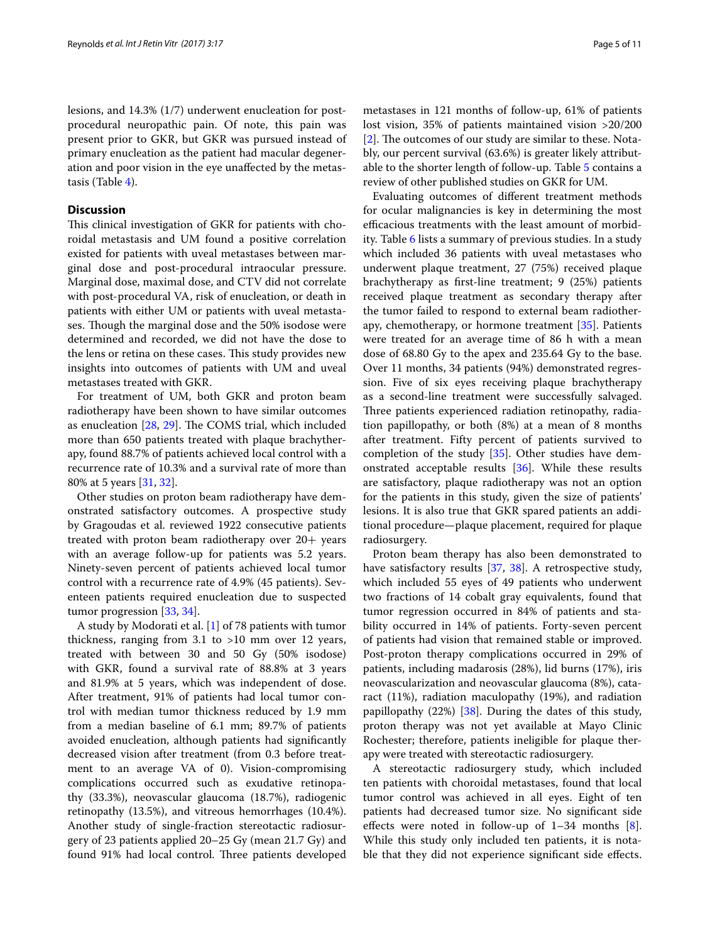lesions, and 14.3% (1/7) underwent enucleation for postprocedural neuropathic pain. Of note, this pain was present prior to GKR, but GKR was pursued instead of primary enucleation as the patient had macular degeneration and poor vision in the eye unaffected by the metastasis (Table [4\)](#page-3-3).

### **Discussion**

This clinical investigation of GKR for patients with choroidal metastasis and UM found a positive correlation existed for patients with uveal metastases between marginal dose and post-procedural intraocular pressure. Marginal dose, maximal dose, and CTV did not correlate with post-procedural VA, risk of enucleation, or death in patients with either UM or patients with uveal metastases. Though the marginal dose and the 50% isodose were determined and recorded, we did not have the dose to the lens or retina on these cases. This study provides new insights into outcomes of patients with UM and uveal metastases treated with GKR.

For treatment of UM, both GKR and proton beam radiotherapy have been shown to have similar outcomes as enucleation [[28,](#page-10-9) [29\]](#page-10-10). The COMS trial, which included more than 650 patients treated with plaque brachytherapy, found 88.7% of patients achieved local control with a recurrence rate of 10.3% and a survival rate of more than 80% at 5 years [\[31](#page-10-12), [32\]](#page-10-13).

Other studies on proton beam radiotherapy have demonstrated satisfactory outcomes. A prospective study by Gragoudas et al. reviewed 1922 consecutive patients treated with proton beam radiotherapy over 20+ years with an average follow-up for patients was 5.2 years. Ninety-seven percent of patients achieved local tumor control with a recurrence rate of 4.9% (45 patients). Seventeen patients required enucleation due to suspected tumor progression [\[33,](#page-10-14) [34](#page-10-15)].

A study by Modorati et al. [\[1](#page-9-0)] of 78 patients with tumor thickness, ranging from 3.1 to >10 mm over 12 years, treated with between 30 and 50 Gy (50% isodose) with GKR, found a survival rate of 88.8% at 3 years and 81.9% at 5 years, which was independent of dose. After treatment, 91% of patients had local tumor control with median tumor thickness reduced by 1.9 mm from a median baseline of 6.1 mm; 89.7% of patients avoided enucleation, although patients had significantly decreased vision after treatment (from 0.3 before treatment to an average VA of 0). Vision-compromising complications occurred such as exudative retinopathy (33.3%), neovascular glaucoma (18.7%), radiogenic retinopathy (13.5%), and vitreous hemorrhages (10.4%). Another study of single-fraction stereotactic radiosurgery of 23 patients applied 20–25 Gy (mean 21.7 Gy) and found 91% had local control. Three patients developed metastases in 121 months of follow-up, 61% of patients lost vision, 35% of patients maintained vision >20/200 [[2\]](#page-9-1). The outcomes of our study are similar to these. Notably, our percent survival (63.6%) is greater likely attributable to the shorter length of follow-up. Table [5](#page-5-0) contains a review of other published studies on GKR for UM.

Evaluating outcomes of different treatment methods for ocular malignancies is key in determining the most efficacious treatments with the least amount of morbidity. Table [6](#page-8-0) lists a summary of previous studies. In a study which included 36 patients with uveal metastases who underwent plaque treatment, 27 (75%) received plaque brachytherapy as first-line treatment; 9 (25%) patients received plaque treatment as secondary therapy after the tumor failed to respond to external beam radiotherapy, chemotherapy, or hormone treatment [\[35](#page-10-16)]. Patients were treated for an average time of 86 h with a mean dose of 68.80 Gy to the apex and 235.64 Gy to the base. Over 11 months, 34 patients (94%) demonstrated regression. Five of six eyes receiving plaque brachytherapy as a second-line treatment were successfully salvaged. Three patients experienced radiation retinopathy, radiation papillopathy, or both (8%) at a mean of 8 months after treatment. Fifty percent of patients survived to completion of the study [[35\]](#page-10-16). Other studies have demonstrated acceptable results [\[36](#page-10-17)]. While these results are satisfactory, plaque radiotherapy was not an option for the patients in this study, given the size of patients' lesions. It is also true that GKR spared patients an additional procedure—plaque placement, required for plaque radiosurgery.

Proton beam therapy has also been demonstrated to have satisfactory results [[37,](#page-10-18) [38\]](#page-10-19). A retrospective study, which included 55 eyes of 49 patients who underwent two fractions of 14 cobalt gray equivalents, found that tumor regression occurred in 84% of patients and stability occurred in 14% of patients. Forty-seven percent of patients had vision that remained stable or improved. Post-proton therapy complications occurred in 29% of patients, including madarosis (28%), lid burns (17%), iris neovascularization and neovascular glaucoma (8%), cataract (11%), radiation maculopathy (19%), and radiation papillopathy  $(22%)$  [\[38](#page-10-19)]. During the dates of this study, proton therapy was not yet available at Mayo Clinic Rochester; therefore, patients ineligible for plaque therapy were treated with stereotactic radiosurgery.

A stereotactic radiosurgery study, which included ten patients with choroidal metastases, found that local tumor control was achieved in all eyes. Eight of ten patients had decreased tumor size. No significant side effects were noted in follow-up of  $1-34$  months  $[8]$  $[8]$ . While this study only included ten patients, it is notable that they did not experience significant side effects.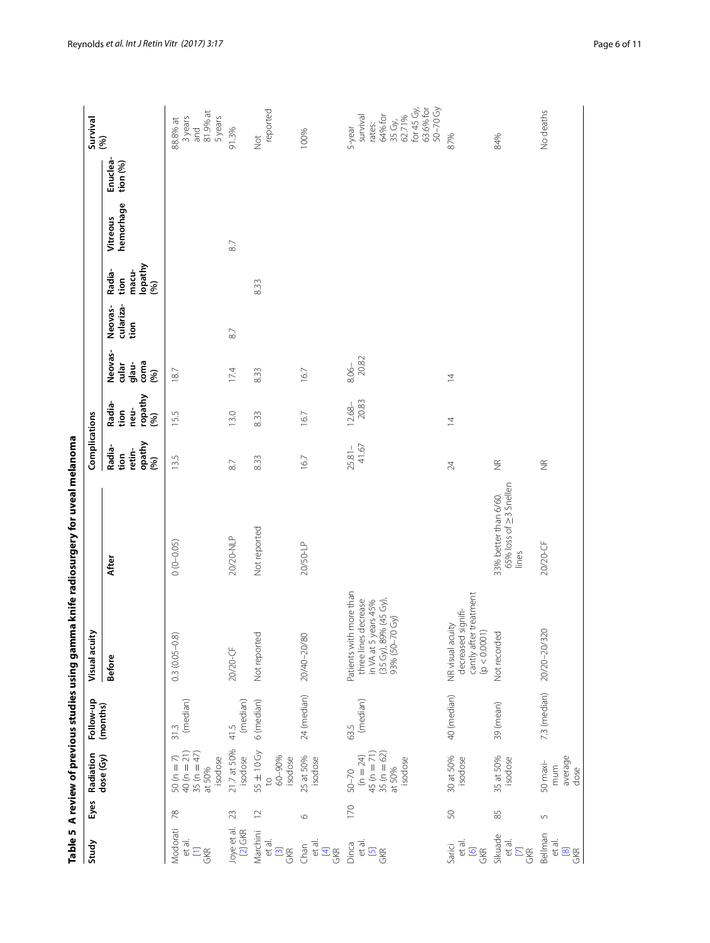<span id="page-5-0"></span>

|                                         |                  |                                                                                               |                  |                                                                                                                       | Table 5 A review of previous studies using gamma knife radiosurgery for uveal melanoma |                                            |                                           |                                           |                              |                                            |                       |                      |                                                                                                    |
|-----------------------------------------|------------------|-----------------------------------------------------------------------------------------------|------------------|-----------------------------------------------------------------------------------------------------------------------|----------------------------------------------------------------------------------------|--------------------------------------------|-------------------------------------------|-------------------------------------------|------------------------------|--------------------------------------------|-----------------------|----------------------|----------------------------------------------------------------------------------------------------|
| Study                                   | Eyes             | Radiation                                                                                     | Follow-up        | Visual acuity                                                                                                         |                                                                                        | Complications                              |                                           |                                           |                              |                                            |                       |                      | Survival                                                                                           |
|                                         |                  | dose (Gy)                                                                                     | (months)         | <b>Before</b>                                                                                                         | After                                                                                  | opathy<br>Radia-<br>retin-<br>tion<br>(96) | ropathy<br>Radia-<br>neu-<br>tion<br>(96) | Neovas-<br>coma<br>glau-<br>cular<br>(96) | culariza-<br>Neovas-<br>tion | lopathy<br>macu-<br>Radia-<br>tion<br>(96) | hemorhage<br>Vitreous | Enuclea-<br>tion (%) | (96)                                                                                               |
| Modorati<br>et al.<br>$E_{\text{S}}$    | 78               | $40(n = 21)$<br>35 ( $n = 47$ )<br>$\stackrel{\frown}{\sim}$<br>isodose<br>$50(n =$<br>at 50% | (median)<br>31.3 | $0.3(0.05 - 0.8)$                                                                                                     | $0(0 - 0.05)$                                                                          | 13.5                                       | 15.5                                      | 18.7                                      |                              |                                            |                       |                      | 81.9% at<br>5 years<br>3 years<br>88.8% at<br>and                                                  |
| Joye et al.<br>[2] GKR                  | 23               | 21.7 at 50%<br>isodose                                                                        | (median)<br>41.5 | 20/20-CF                                                                                                              | 20/20-NLP                                                                              | 87                                         | 13.0                                      | 17.4                                      | $\approx$                    |                                            | 8.7                   |                      | 91.3%                                                                                              |
| Marchini<br>et al.<br>$\frac{[3]}{[3]}$ | $\supseteq$      | 55 ± 10 Gy<br>60-90%<br>isodose<br>$\overline{c}$                                             | 6 (median)       | Not reported                                                                                                          | Not reported                                                                           | 8.33                                       | 8.33                                      | 8.33                                      |                              | 833                                        |                       |                      | reported<br><b>Not</b>                                                                             |
| et al.<br>GKR<br>Chan                   | $\circ$          | 25 at 50%<br>isodose                                                                          | 24 (median)      | 20/40-20/80                                                                                                           | 20/50-LP                                                                               | 167                                        | 167                                       | 16.7                                      |                              |                                            |                       |                      | 100%                                                                                               |
| Dinca<br>et al.<br>GKR                  | 170              | $45(n = 71)$<br>$35(n = 62)$<br>$(n = 24)$<br>isodose<br>at 50%<br>50-70                      | (median)<br>63.5 | Patients with more than<br>in VA at 5 years 45%<br>(35 Gy), 89% (45 Gy),<br>decrease<br>93% (50-70 Gy)<br>three lines |                                                                                        | 41.67<br>$25.81 -$                         | 20.83<br>$12.68 -$                        | $8.06 - 20.82$                            |                              |                                            |                       |                      | for 45 Gy,<br>63.6% for<br>50-70 Gy<br>64% for<br>35 Gy,<br>62.71%<br>survival<br>rates:<br>5-year |
| et al.<br>Sarici<br>$rac{6}{6}$         | 50               | 30 at 50%<br>isodose                                                                          | 40 (median)      | cantly after treatment<br>(p < 0.0001)<br>decreased signifi-<br>NR visual acuity                                      |                                                                                        | 24                                         | $\overline{4}$                            | $\overline{4}$                            |                              |                                            |                       |                      | 87%                                                                                                |
| Sikuade<br>et al.<br>$\frac{1}{2}$      | 85               | 35 at 50%<br>isodose                                                                          | 39 (mean)        | Not recorded                                                                                                          | 65% loss of 23 Snellen<br>33% better than 6/60.<br>lines                               | $\frac{\alpha}{2}$                         |                                           |                                           |                              |                                            |                       |                      | 84%                                                                                                |
| Bellman<br>et al.<br>$\frac{1}{2}$      | $\mathsf{L}\cap$ | average<br>50 maxi-<br>mum<br>dose                                                            | 7.3 (median)     | 20/20-20/320                                                                                                          | 20/20-CF                                                                               | $\frac{\alpha}{2}$                         |                                           |                                           |                              |                                            |                       |                      | No deaths                                                                                          |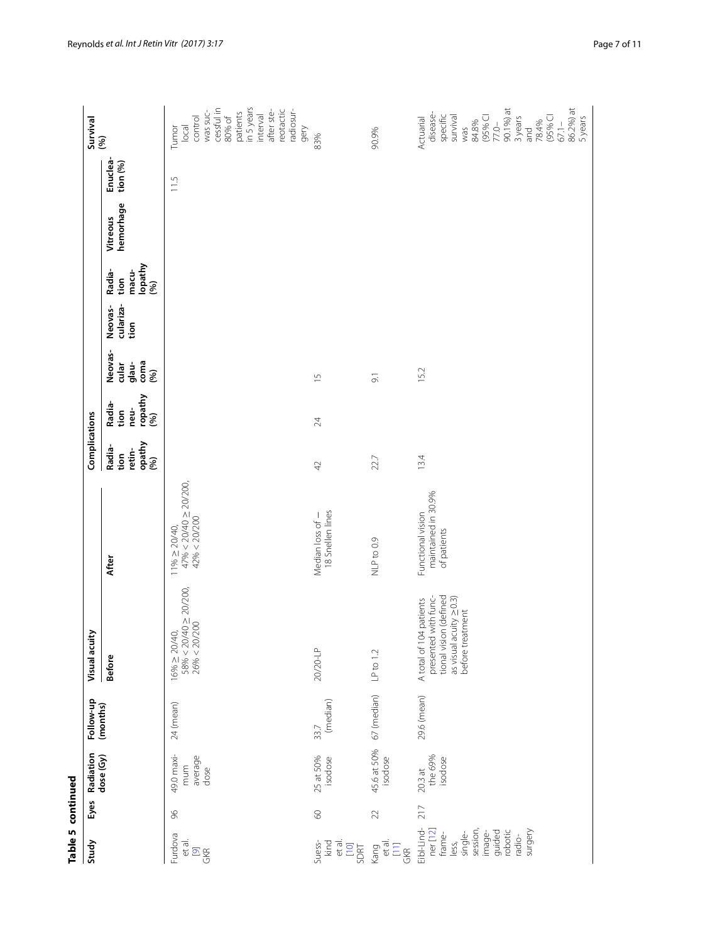|                   | Survival<br>(%)        |                                           | in 5 years<br>cessful in<br>reotactic<br>after ste-<br>was suc-<br>radiosur-<br>patients<br>interval<br>80% of<br>control<br>gery<br>local<br>Tumor | 83%                                      | 90.9%                                | 90.1%) at<br>86.2%) at<br>disease-<br>specific<br>survival<br>(95% CI<br>(95% CI<br>3 years<br>Actuarial<br>5 years<br>78.4%<br>84.8%<br>$67.1 -$<br>$77.0 -$<br>was<br>and |
|-------------------|------------------------|-------------------------------------------|-----------------------------------------------------------------------------------------------------------------------------------------------------|------------------------------------------|--------------------------------------|-----------------------------------------------------------------------------------------------------------------------------------------------------------------------------|
|                   |                        | Enuclea-<br>tion (%)                      | 11.5                                                                                                                                                |                                          |                                      |                                                                                                                                                                             |
|                   |                        | hemorhage<br>Vitreous                     |                                                                                                                                                     |                                          |                                      |                                                                                                                                                                             |
|                   |                        | lopathy<br>macu-<br>Radia-<br>tion<br>(%) |                                                                                                                                                     |                                          |                                      |                                                                                                                                                                             |
|                   |                        | Neovas-<br>culariza-<br>tion              |                                                                                                                                                     |                                          |                                      |                                                                                                                                                                             |
|                   |                        | Neovas-<br>coma<br>cular<br>glau-<br>(%)  |                                                                                                                                                     | $\frac{1}{2}$                            | 9.1                                  | 15.2                                                                                                                                                                        |
|                   |                        | ropathy<br>Radia-<br>neu-<br>tion<br>(96) |                                                                                                                                                     | 24                                       |                                      |                                                                                                                                                                             |
|                   | Complications          | opathy<br>Radia-<br>retin-<br>tion<br>(%) |                                                                                                                                                     | 42                                       | 22.7                                 | 13.4                                                                                                                                                                        |
|                   |                        | After                                     | $47\% < 20/40 \ge 20/200,$ $42\% < 20/200$<br>$11\% \ge 20/40$ ,                                                                                    | 18 Snellen lines<br>Median loss of -     | NLP to 0.9                           | maintained in 30.9%<br>Functional vision<br>of patients                                                                                                                     |
|                   | Visual acuity          | <b>Before</b>                             | $\frac{58\%}{26\%} < \frac{20}{40} \ge \frac{20}{200}.$<br>$16\% \ge 20/40$ ,                                                                       | 20/20-LP                                 | $LP$ to 1.2                          | presented with func-<br>tional vision (defined<br>as visual acuity $\geq$ 0.3)<br>before treatment<br>A total of 104 patients                                               |
|                   | Follow-up              | (months)                                  | 24 (mean)                                                                                                                                           | (median)<br>33.7                         | 67 (median)                          | 29.6 (mean)                                                                                                                                                                 |
|                   | Radiation<br>dose (Gy) |                                           | 49.0 maxi-<br>average<br>dose<br>mum                                                                                                                | 25 at 50%<br>isodose                     | 45.6 at 50%<br>isodose               | the 69%<br>isodose<br>$20.3$ at                                                                                                                                             |
|                   | Eyes                   |                                           | 96                                                                                                                                                  | $\odot$                                  | 22                                   | 217                                                                                                                                                                         |
| Table 5 continued | Study                  |                                           | Furdova<br>et al.<br>$\frac{9}{98}$                                                                                                                 | kind<br>et al.<br>SDRT<br>SDRT<br>Suess- | Kang<br>et al.<br>$\frac{[11]}{GKR}$ | Eibl-Lind-<br>session,<br>ner[12]<br>surgery<br>guided<br>robotic<br>image-<br>less,<br>single-<br>frame-<br>radio-                                                         |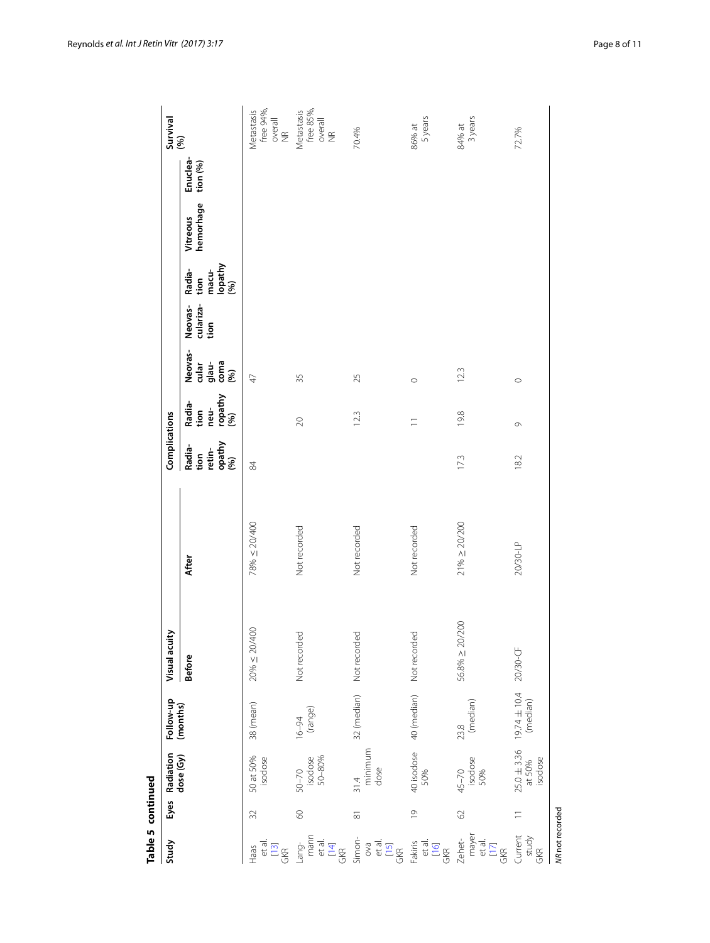| (months)<br>Radiation<br>dose (Gy)                                                        | Follow-up | Visual acuity | Complications                              |                                           |                                                       |                              |                                                                                               |                       |                      | Survival<br>(%)                          |
|-------------------------------------------------------------------------------------------|-----------|---------------|--------------------------------------------|-------------------------------------------|-------------------------------------------------------|------------------------------|-----------------------------------------------------------------------------------------------|-----------------------|----------------------|------------------------------------------|
| After<br><b>Before</b>                                                                    |           |               | opathy<br>Radia-<br>retin-<br>tion<br>(96) | ropathy<br>Radia-<br>tion<br>neu-<br>(96) | Neovas-<br>$\frac{1}{9}$ ana<br>Coma<br>$\frac{1}{2}$ | culariza-<br>Neovas-<br>tion | $\begin{array}{c}\n\mathsf{lengthy} \\ \mathsf{poly}\n\end{array}$<br>macu-<br>Radia-<br>tion | hemorhage<br>Vitreous | Enuclea-<br>tion (%) |                                          |
| 78% $\leq$ 20/400<br>$20\% \le 20/400$<br>38 (mean)<br>50 at 50%<br>isodose               |           |               | 84                                         |                                           | $\overline{4}$                                        |                              |                                                                                               |                       |                      | free 94%,<br>Metastasis<br>overall<br>NR |
| Not recorded<br>Not recorded<br>$16-94$<br>(range)<br>isodose<br>50-80%<br>$50 - 70$      |           |               |                                            | 20                                        | 35                                                    |                              |                                                                                               |                       |                      | free 85%,<br>Metastasis<br>overall<br>NR |
| Not recorded<br>32 (median) Not recorded<br>minimum<br>dose<br>31.4                       |           |               |                                            | 123                                       | 25                                                    |                              |                                                                                               |                       |                      | 70.4%                                    |
| Not recorded<br>Not recorded<br>40 (median)<br>40 isodose<br>50%                          |           |               |                                            | Ξ                                         | $\circ$                                               |                              |                                                                                               |                       |                      | 5 years<br>86% at                        |
| $21\% \ge 20/200$<br>$56.8\% \ge 20/200$<br>$23.8$<br>(median)<br>45–70<br>isodose<br>50% |           |               | 17.3                                       | 19.8                                      | 123                                                   |                              |                                                                                               |                       |                      | 3 years<br>$84%$ at                      |
| 20/30-LP<br>20/30-CF<br>$25.0 \pm 3.36$ 19.74 $\pm$ 10.4<br>at 50% (median)<br>isodose    |           |               | 182                                        | $\circ$                                   | $\circ$                                               |                              |                                                                                               |                       |                      | 72.7%                                    |

Table 5 continued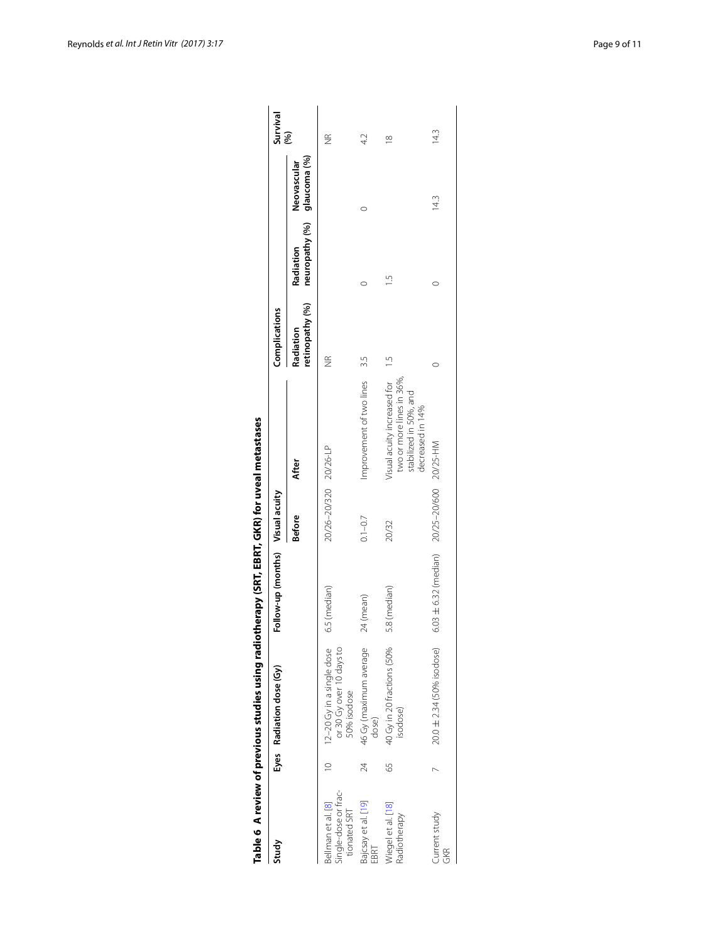| Study                                                      |    | Eyes Radiation dose (Gy)                                             | Follow-up (months) Visual acuity           |                       |                                                                                                        | Complications                |                             |                             | Survival           |
|------------------------------------------------------------|----|----------------------------------------------------------------------|--------------------------------------------|-----------------------|--------------------------------------------------------------------------------------------------------|------------------------------|-----------------------------|-----------------------------|--------------------|
|                                                            |    |                                                                      |                                            | <b>Before</b>         | After                                                                                                  | retinopathy (%)<br>Radiation | neuropathy (%)<br>Radiation | glaucoma (%)<br>Neovascular | $\mathcal{S}$      |
| Single-dose or frac-<br>Bellman et al. [8]<br>tionated SRT |    | or 30 Gy over 10 days to<br>12-20 Gy in a single dose<br>50% isodose | 6.5 (median)                               | 20/26-20/320 20/26-LP |                                                                                                        | E                            |                             |                             | $\frac{\alpha}{2}$ |
| Bajcsay et al. [19]<br>EBRT                                | 24 | 46 Gy (maximum average<br>dose)                                      | 24 (mean)                                  | $0.1 - 0.7$           | Improvement of two lines                                                                               | S.S                          |                             |                             | 42                 |
| Megel et al. [18]<br>Radiotherapy                          | 59 | 40 Gy in 20 fractions (50%<br>isodose)                               | 5.8 (median)                               | 20/32                 | Visual acuity increased for<br>two or more lines in 36%,<br>stabilized in 50%, and<br>decreased in 14% | $-1.5$                       |                             |                             | $\approx$          |
| Current study<br><b>GKR</b>                                |    | 20.0 ± 2.34 (50% isodose)                                            | 6.03 ± 6.32 (median) 20/25-20/600 20/25-HM |                       |                                                                                                        |                              |                             | 14.3                        | 14.3               |

<span id="page-8-0"></span>

| ו<br>ווי ו          |
|---------------------|
|                     |
| <br> <br> <br> <br> |
|                     |
|                     |
|                     |
|                     |
|                     |
|                     |
|                     |
|                     |
|                     |
|                     |
|                     |
|                     |
|                     |
|                     |
|                     |
|                     |
|                     |
|                     |
|                     |
|                     |
|                     |
|                     |
|                     |
|                     |
|                     |
|                     |
|                     |
|                     |
|                     |
|                     |
|                     |
|                     |
|                     |
|                     |
|                     |
|                     |
|                     |
|                     |
|                     |
|                     |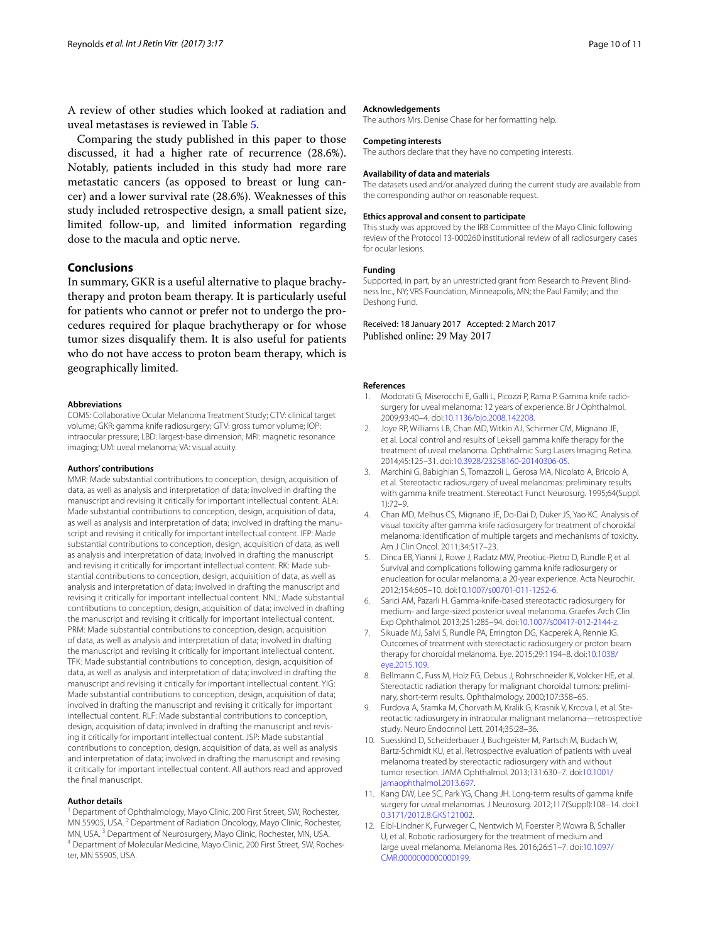A review of other studies which looked at radiation and uveal metastases is reviewed in Table [5](#page-5-0).

Comparing the study published in this paper to those discussed, it had a higher rate of recurrence (28.6%). Notably, patients included in this study had more rare metastatic cancers (as opposed to breast or lung cancer) and a lower survival rate (28.6%). Weaknesses of this study included retrospective design, a small patient size, limited follow-up, and limited information regarding dose to the macula and optic nerve.

# **Conclusions**

In summary, GKR is a useful alternative to plaque brachytherapy and proton beam therapy. It is particularly useful for patients who cannot or prefer not to undergo the procedures required for plaque brachytherapy or for whose tumor sizes disqualify them. It is also useful for patients who do not have access to proton beam therapy, which is geographically limited.

#### **Abbreviations**

COMS: Collaborative Ocular Melanoma Treatment Study; CTV: clinical target volume; GKR: gamma knife radiosurgery; GTV: gross tumor volume; IOP: intraocular pressure; LBD: largest-base dimension; MRI: magnetic resonance imaging; UM: uveal melanoma; VA: visual acuity.

#### **Authors' contributions**

MMR: Made substantial contributions to conception, design, acquisition of data, as well as analysis and interpretation of data; involved in drafting the manuscript and revising it critically for important intellectual content. ALA: Made substantial contributions to conception, design, acquisition of data, as well as analysis and interpretation of data; involved in drafting the manuscript and revising it critically for important intellectual content. IFP: Made substantial contributions to conception, design, acquisition of data, as well as analysis and interpretation of data; involved in drafting the manuscript and revising it critically for important intellectual content. RK: Made substantial contributions to conception, design, acquisition of data, as well as analysis and interpretation of data; involved in drafting the manuscript and revising it critically for important intellectual content. NNL: Made substantial contributions to conception, design, acquisition of data; involved in drafting the manuscript and revising it critically for important intellectual content. PRM: Made substantial contributions to conception, design, acquisition of data, as well as analysis and interpretation of data; involved in drafting the manuscript and revising it critically for important intellectual content. TFK: Made substantial contributions to conception, design, acquisition of data, as well as analysis and interpretation of data; involved in drafting the manuscript and revising it critically for important intellectual content. YIG: Made substantial contributions to conception, design, acquisition of data; involved in drafting the manuscript and revising it critically for important intellectual content. RLF: Made substantial contributions to conception, design, acquisition of data; involved in drafting the manuscript and revising it critically for important intellectual content. JSP: Made substantial contributions to conception, design, acquisition of data, as well as analysis and interpretation of data; involved in drafting the manuscript and revising it critically for important intellectual content. All authors read and approved the final manuscript.

#### **Author details**

<sup>1</sup> Department of Ophthalmology, Mayo Clinic, 200 First Street, SW, Rochester, MN 55905, USA. <sup>2</sup> Department of Radiation Oncology, Mayo Clinic, Rochester, MN, USA. <sup>3</sup> Department of Neurosurgery, Mayo Clinic, Rochester, MN, USA.<br><sup>4</sup> Department of Molecular Medicine, Mayo Clinic, 200 First Street, SW, Rochester, MN 55905, USA.

#### **Acknowledgements**

The authors Mrs. Denise Chase for her formatting help.

#### **Competing interests**

The authors declare that they have no competing interests.

#### **Availability of data and materials**

The datasets used and/or analyzed during the current study are available from the corresponding author on reasonable request.

#### **Ethics approval and consent to participate**

This study was approved by the IRB Committee of the Mayo Clinic following review of the Protocol 13-000260 institutional review of all radiosurgery cases for ocular lesions.

#### **Funding**

Supported, in part, by an unrestricted grant from Research to Prevent Blindness Inc., NY; VRS Foundation, Minneapolis, MN; the Paul Family; and the Deshong Fund.

Received: 18 January 2017 Accepted: 2 March 2017 Published online: 29 May 2017

#### **References**

- <span id="page-9-0"></span>1. Modorati G, Miserocchi E, Galli L, Picozzi P, Rama P. Gamma knife radiosurgery for uveal melanoma: 12 years of experience. Br J Ophthalmol. 2009;93:40–4. doi:[10.1136/bjo.2008.142208.](http://dx.doi.org/10.1136/bjo.2008.142208)
- <span id="page-9-1"></span>2. Joye RP, Williams LB, Chan MD, Witkin AJ, Schirmer CM, Mignano JE, et al. Local control and results of Leksell gamma knife therapy for the treatment of uveal melanoma. Ophthalmic Surg Lasers Imaging Retina. 2014;45:125–31. doi[:10.3928/23258160-20140306-05](http://dx.doi.org/10.3928/23258160-20140306-05).
- <span id="page-9-3"></span>3. Marchini G, Babighian S, Tomazzoli L, Gerosa MA, Nicolato A, Bricolo A, et al. Stereotactic radiosurgery of uveal melanomas: preliminary results with gamma knife treatment. Stereotact Funct Neurosurg. 1995;64(Suppl. 1):72–9.
- <span id="page-9-4"></span>4. Chan MD, Melhus CS, Mignano JE, Do-Dai D, Duker JS, Yao KC. Analysis of visual toxicity after gamma knife radiosurgery for treatment of choroidal melanoma: identification of multiple targets and mechanisms of toxicity. Am J Clin Oncol. 2011;34:517–23.
- <span id="page-9-5"></span>5. Dinca EB, Yianni J, Rowe J, Radatz MW, Preotiuc-Pietro D, Rundle P, et al. Survival and complications following gamma knife radiosurgery or enucleation for ocular melanoma: a 20-year experience. Acta Neurochir. 2012;154:605–10. doi:[10.1007/s00701-011-1252-6.](http://dx.doi.org/10.1007/s00701-011-1252-6)
- <span id="page-9-6"></span>6. Sarici AM, Pazarli H. Gamma-knife-based stereotactic radiosurgery for medium- and large-sized posterior uveal melanoma. Graefes Arch Clin Exp Ophthalmol. 2013;251:285–94. doi:[10.1007/s00417-012-2144-z.](http://dx.doi.org/10.1007/s00417-012-2144-z)
- <span id="page-9-7"></span>7. Sikuade MJ, Salvi S, Rundle PA, Errington DG, Kacperek A, Rennie IG. Outcomes of treatment with stereotactic radiosurgery or proton beam therapy for choroidal melanoma. Eye. 2015;29:1194–8. doi:[10.1038/](http://dx.doi.org/10.1038/eye.2015.109) [eye.2015.109](http://dx.doi.org/10.1038/eye.2015.109).
- <span id="page-9-2"></span>8. Bellmann C, Fuss M, Holz FG, Debus J, Rohrschneider K, Volcker HE, et al. Stereotactic radiation therapy for malignant choroidal tumors: preliminary, short-term results. Ophthalmology. 2000;107:358–65.
- <span id="page-9-8"></span>9. Furdova A, Sramka M, Chorvath M, Kralik G, Krasnik V, Krcova I, et al. Stereotactic radiosurgery in intraocular malignant melanoma—retrospective study. Neuro Endocrinol Lett. 2014;35:28–36.
- <span id="page-9-9"></span>10. Suesskind D, Scheiderbauer J, Buchgeister M, Partsch M, Budach W, Bartz-Schmidt KU, et al. Retrospective evaluation of patients with uveal melanoma treated by stereotactic radiosurgery with and without tumor resection. JAMA Ophthalmol. 2013;131:630–7. doi:[10.1001/](http://dx.doi.org/10.1001/jamaophthalmol.2013.697) [jamaophthalmol.2013.697.](http://dx.doi.org/10.1001/jamaophthalmol.2013.697)
- <span id="page-9-10"></span>11. Kang DW, Lee SC, Park YG, Chang JH. Long-term results of gamma knife surgery for uveal melanomas. J Neurosurg. 2012;117(Suppl):108–14. doi[:1](http://dx.doi.org/10.3171/2012.8.GKS121002) [0.3171/2012.8.GKS121002.](http://dx.doi.org/10.3171/2012.8.GKS121002)
- <span id="page-9-11"></span>12. Eibl-Lindner K, Furweger C, Nentwich M, Foerster P, Wowra B, Schaller U, et al. Robotic radiosurgery for the treatment of medium and large uveal melanoma. Melanoma Res. 2016;26:51–7. doi[:10.1097/](http://dx.doi.org/10.1097/CMR.0000000000000199) [CMR.0000000000000199](http://dx.doi.org/10.1097/CMR.0000000000000199).